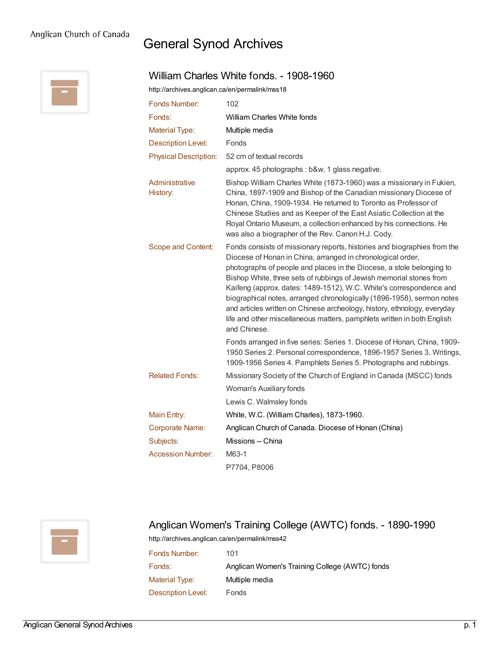## General Synod Archives

William Charles White fonds. - 1908-1960



| http://archives.anglican.ca/en/permalink/mss18 |                                                                                                                                                                                                                                                                                                                                                                                                                                                                                                                                                                                                                 |  |  |
|------------------------------------------------|-----------------------------------------------------------------------------------------------------------------------------------------------------------------------------------------------------------------------------------------------------------------------------------------------------------------------------------------------------------------------------------------------------------------------------------------------------------------------------------------------------------------------------------------------------------------------------------------------------------------|--|--|
| Fonds Number:                                  | 102                                                                                                                                                                                                                                                                                                                                                                                                                                                                                                                                                                                                             |  |  |
| Fonds:                                         | <b>William Charles White fonds</b>                                                                                                                                                                                                                                                                                                                                                                                                                                                                                                                                                                              |  |  |
| <b>Material Type:</b>                          | Multiple media                                                                                                                                                                                                                                                                                                                                                                                                                                                                                                                                                                                                  |  |  |
| <b>Description Level:</b>                      | Fonds                                                                                                                                                                                                                                                                                                                                                                                                                                                                                                                                                                                                           |  |  |
| <b>Physical Description:</b>                   | 52 cm of textual records                                                                                                                                                                                                                                                                                                                                                                                                                                                                                                                                                                                        |  |  |
|                                                | approx. 45 photographs : b&w, 1 glass negative.                                                                                                                                                                                                                                                                                                                                                                                                                                                                                                                                                                 |  |  |
| Administrative<br>History:                     | Bishop William Charles White (1873-1960) was a missionary in Fukien,<br>China, 1897-1909 and Bishop of the Canadian missionary Diocese of<br>Honan, China, 1909-1934. He returned to Toronto as Professor of<br>Chinese Studies and as Keeper of the East Asiatic Collection at the<br>Royal Ontario Museum, a collection enhanced by his connections. He<br>was also a biographer of the Rev. Canon H.J. Cody.                                                                                                                                                                                                 |  |  |
| Scope and Content:                             | Fonds consists of missionary reports, histories and biographies from the<br>Diocese of Honan in China, arranged in chronological order,<br>photographs of people and places in the Diocese, a stole belonging to<br>Bishop White, three sets of rubbings of Jewish memorial stones from<br>Kaifeng (approx. dates: 1489-1512), W.C. White's correspondence and<br>biographical notes, arranged chronologically (1896-1958), sermon notes<br>and articles written on Chinese archeology, history, ethnology, everyday<br>life and other miscellaneous matters, pamphlets written in both English<br>and Chinese. |  |  |
|                                                | Fonds arranged in five series: Series 1. Diocese of Honan, China, 1909-<br>1950 Series 2. Personal correspondence, 1896-1957 Series 3. Writings,<br>1909-1956 Series 4. Pamphlets Series 5. Photographs and rubbings.                                                                                                                                                                                                                                                                                                                                                                                           |  |  |
| <b>Related Fonds:</b>                          | Missionary Society of the Church of England in Canada (MSCC) fonds                                                                                                                                                                                                                                                                                                                                                                                                                                                                                                                                              |  |  |
|                                                | Woman's Auxiliary fonds                                                                                                                                                                                                                                                                                                                                                                                                                                                                                                                                                                                         |  |  |
|                                                | Lewis C. Walmsley fonds                                                                                                                                                                                                                                                                                                                                                                                                                                                                                                                                                                                         |  |  |
| Main Entry:                                    | White, W.C. (William Charles), 1873-1960.                                                                                                                                                                                                                                                                                                                                                                                                                                                                                                                                                                       |  |  |
| <b>Corporate Name:</b>                         | Anglican Church of Canada. Diocese of Honan (China)                                                                                                                                                                                                                                                                                                                                                                                                                                                                                                                                                             |  |  |
| Subjects:                                      | Missions -- China                                                                                                                                                                                                                                                                                                                                                                                                                                                                                                                                                                                               |  |  |
| <b>Accession Number:</b>                       | M63-1                                                                                                                                                                                                                                                                                                                                                                                                                                                                                                                                                                                                           |  |  |
|                                                | P7704, P8006                                                                                                                                                                                                                                                                                                                                                                                                                                                                                                                                                                                                    |  |  |



## Anglican Women's Training College (AWTC) fonds. - 1890-1990

<http://archives.anglican.ca/en/permalink/mss42>

| 101                                            |
|------------------------------------------------|
| Anglican Women's Training College (AWTC) fonds |
| Multiple media                                 |
| Fonds                                          |
|                                                |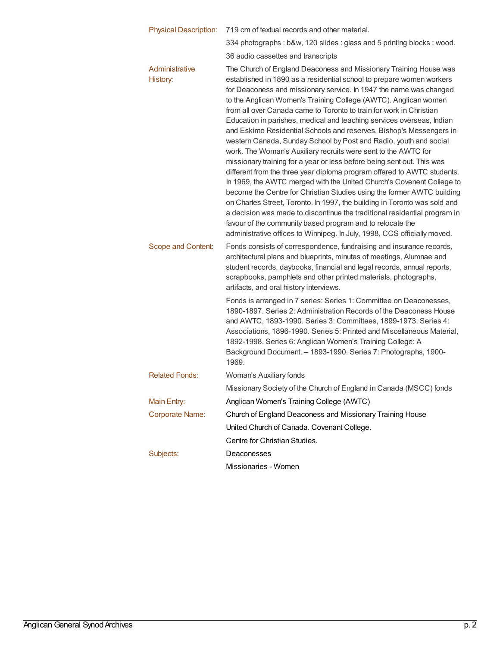| <b>Physical Description:</b> | 719 cm of textual records and other material.                                                                                                                                                                                                                                                                                                                                                                                                                                                                                                                                                                                                                                                                                                                                                                                                                                                                                                                                                                                                                                                                                                                                                                                                               |  |
|------------------------------|-------------------------------------------------------------------------------------------------------------------------------------------------------------------------------------------------------------------------------------------------------------------------------------------------------------------------------------------------------------------------------------------------------------------------------------------------------------------------------------------------------------------------------------------------------------------------------------------------------------------------------------------------------------------------------------------------------------------------------------------------------------------------------------------------------------------------------------------------------------------------------------------------------------------------------------------------------------------------------------------------------------------------------------------------------------------------------------------------------------------------------------------------------------------------------------------------------------------------------------------------------------|--|
|                              | 334 photographs : b&w, 120 slides : glass and 5 printing blocks : wood.                                                                                                                                                                                                                                                                                                                                                                                                                                                                                                                                                                                                                                                                                                                                                                                                                                                                                                                                                                                                                                                                                                                                                                                     |  |
|                              | 36 audio cassettes and transcripts                                                                                                                                                                                                                                                                                                                                                                                                                                                                                                                                                                                                                                                                                                                                                                                                                                                                                                                                                                                                                                                                                                                                                                                                                          |  |
| Administrative<br>History:   | The Church of England Deaconess and Missionary Training House was<br>established in 1890 as a residential school to prepare women workers<br>for Deaconess and missionary service. In 1947 the name was changed<br>to the Anglican Women's Training College (AWTC). Anglican women<br>from all over Canada came to Toronto to train for work in Christian<br>Education in parishes, medical and teaching services overseas, Indian<br>and Eskimo Residential Schools and reserves, Bishop's Messengers in<br>western Canada, Sunday School by Post and Radio, youth and social<br>work. The Woman's Auxiliary recruits were sent to the AWTC for<br>missionary training for a year or less before being sent out. This was<br>different from the three year diploma program offered to AWTC students.<br>In 1969, the AWTC merged with the United Church's Covenent College to<br>become the Centre for Christian Studies using the former AWTC building<br>on Charles Street, Toronto. In 1997, the building in Toronto was sold and<br>a decision was made to discontinue the traditional residential program in<br>favour of the community based program and to relocate the<br>administrative offices to Winnipeg. In July, 1998, CCS officially moved. |  |
| Scope and Content:           | Fonds consists of correspondence, fundraising and insurance records,<br>architectural plans and blueprints, minutes of meetings, Alumnae and<br>student records, daybooks, financial and legal records, annual reports,<br>scrapbooks, pamphlets and other printed materials, photographs,<br>artifacts, and oral history interviews.<br>Fonds is arranged in 7 series: Series 1: Committee on Deaconesses,<br>1890-1897. Series 2: Administration Records of the Deaconess House<br>and AWTC, 1893-1990. Series 3: Committees, 1899-1973. Series 4:<br>Associations, 1896-1990. Series 5: Printed and Miscellaneous Material,<br>1892-1998. Series 6: Anglican Women's Training College: A<br>Background Document. - 1893-1990. Series 7: Photographs, 1900-<br>1969.                                                                                                                                                                                                                                                                                                                                                                                                                                                                                      |  |
| <b>Related Fonds:</b>        | Woman's Auxiliary fonds                                                                                                                                                                                                                                                                                                                                                                                                                                                                                                                                                                                                                                                                                                                                                                                                                                                                                                                                                                                                                                                                                                                                                                                                                                     |  |
|                              | Missionary Society of the Church of England in Canada (MSCC) fonds                                                                                                                                                                                                                                                                                                                                                                                                                                                                                                                                                                                                                                                                                                                                                                                                                                                                                                                                                                                                                                                                                                                                                                                          |  |
| Main Entry:                  | Anglican Women's Training College (AWTC)                                                                                                                                                                                                                                                                                                                                                                                                                                                                                                                                                                                                                                                                                                                                                                                                                                                                                                                                                                                                                                                                                                                                                                                                                    |  |
| <b>Corporate Name:</b>       | Church of England Deaconess and Missionary Training House                                                                                                                                                                                                                                                                                                                                                                                                                                                                                                                                                                                                                                                                                                                                                                                                                                                                                                                                                                                                                                                                                                                                                                                                   |  |
|                              | United Church of Canada. Covenant College.                                                                                                                                                                                                                                                                                                                                                                                                                                                                                                                                                                                                                                                                                                                                                                                                                                                                                                                                                                                                                                                                                                                                                                                                                  |  |
|                              | Centre for Christian Studies.                                                                                                                                                                                                                                                                                                                                                                                                                                                                                                                                                                                                                                                                                                                                                                                                                                                                                                                                                                                                                                                                                                                                                                                                                               |  |
| Subjects:                    | Deaconesses                                                                                                                                                                                                                                                                                                                                                                                                                                                                                                                                                                                                                                                                                                                                                                                                                                                                                                                                                                                                                                                                                                                                                                                                                                                 |  |
|                              | Missionaries - Women                                                                                                                                                                                                                                                                                                                                                                                                                                                                                                                                                                                                                                                                                                                                                                                                                                                                                                                                                                                                                                                                                                                                                                                                                                        |  |